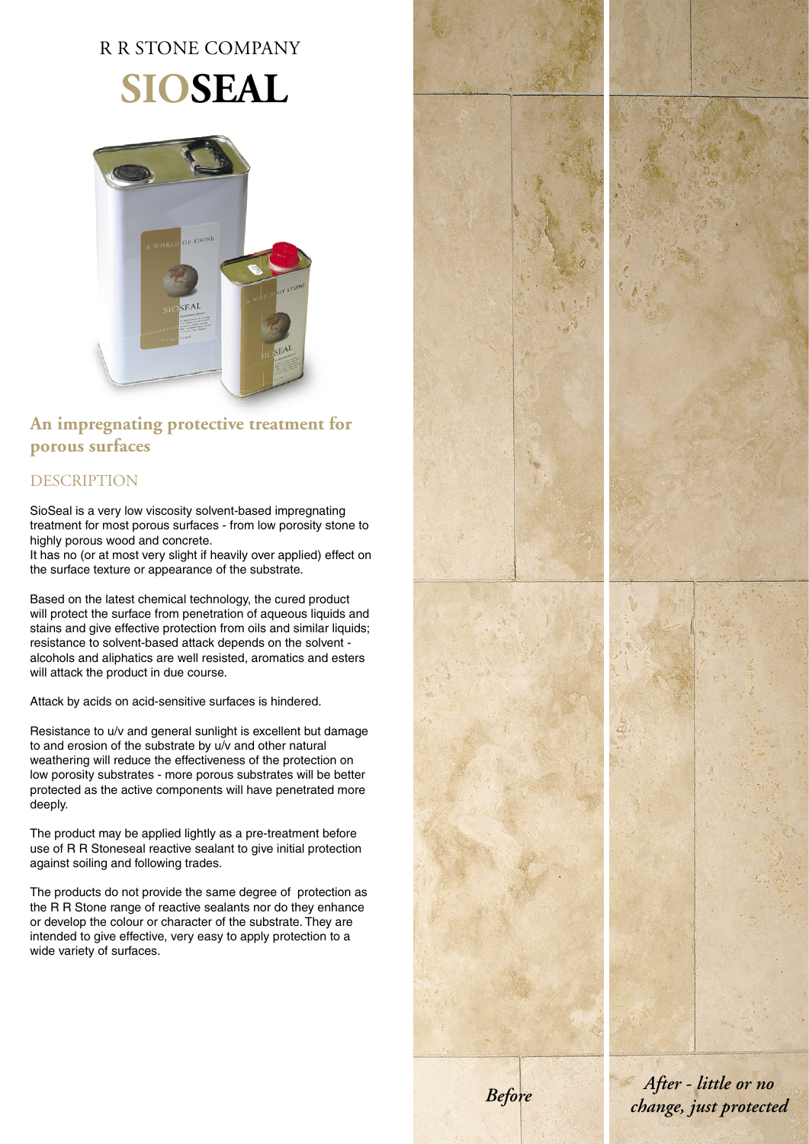# R R STONE COMPANY

# **SIOSEAL**



### **An impregnating protective treatment for porous surfaces**

## DESCRIPTION

SioSeal is a very low viscosity solvent-based impregnating treatment for most porous surfaces - from low porosity stone to highly porous wood and concrete.

It has no (or at most very slight if heavily over applied) effect on the surface texture or appearance of the substrate.

Based on the latest chemical technology, the cured product will protect the surface from penetration of aqueous liquids and stains and give effective protection from oils and similar liquids; resistance to solvent-based attack depends on the solvent alcohols and aliphatics are well resisted, aromatics and esters will attack the product in due course.

Attack by acids on acid-sensitive surfaces is hindered.

Resistance to u/v and general sunlight is excellent but damage to and erosion of the substrate by u/v and other natural weathering will reduce the effectiveness of the protection on low porosity substrates - more porous substrates will be better protected as the active components will have penetrated more deeply.

The product may be applied lightly as a pre-treatment before use of R R Stoneseal reactive sealant to give initial protection against soiling and following trades.

The products do not provide the same degree of protection as the R R Stone range of reactive sealants nor do they enhance or develop the colour or character of the substrate. They are intended to give effective, very easy to apply protection to a wide variety of surfaces.